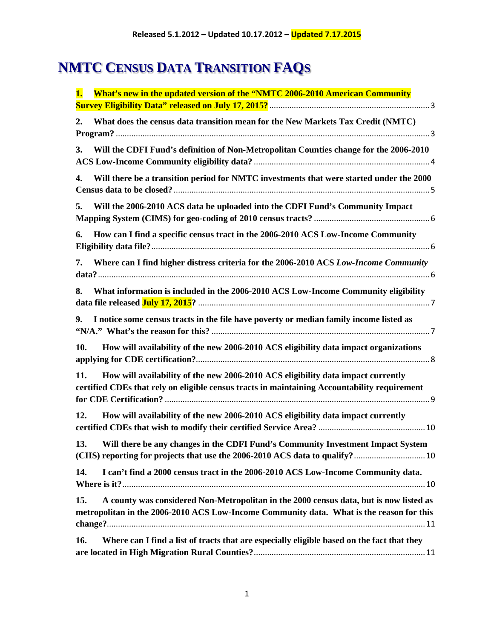# **NMTC CENSUS DATA TRANSITION FAQS**

| <b>What's new in the updated version of the "NMTC 2006-2010 American Community</b><br>1.                                                                                                  |  |
|-------------------------------------------------------------------------------------------------------------------------------------------------------------------------------------------|--|
|                                                                                                                                                                                           |  |
| 2.<br>What does the census data transition mean for the New Markets Tax Credit (NMTC)                                                                                                     |  |
| Will the CDFI Fund's definition of Non-Metropolitan Counties change for the 2006-2010<br>3.                                                                                               |  |
| Will there be a transition period for NMTC investments that were started under the 2000<br>4.                                                                                             |  |
| Will the 2006-2010 ACS data be uploaded into the CDFI Fund's Community Impact<br>5.                                                                                                       |  |
| How can I find a specific census tract in the 2006-2010 ACS Low-Income Community<br>6.                                                                                                    |  |
| Where can I find higher distress criteria for the 2006-2010 ACS Low-Income Community<br>7.                                                                                                |  |
| What information is included in the 2006-2010 ACS Low-Income Community eligibility<br>8.                                                                                                  |  |
| I notice some census tracts in the file have poverty or median family income listed as<br>9.                                                                                              |  |
| How will availability of the new 2006-2010 ACS eligibility data impact organizations<br>10.                                                                                               |  |
| How will availability of the new 2006-2010 ACS eligibility data impact currently<br>11.<br>certified CDEs that rely on eligible census tracts in maintaining Accountability requirement   |  |
| How will availability of the new 2006-2010 ACS eligibility data impact currently<br>12.                                                                                                   |  |
| Will there be any changes in the CDFI Fund's Community Investment Impact System<br>13.                                                                                                    |  |
| I can't find a 2000 census tract in the 2006-2010 ACS Low-Income Community data.<br>14.                                                                                                   |  |
| A county was considered Non-Metropolitan in the 2000 census data, but is now listed as<br>15.<br>metropolitan in the 2006-2010 ACS Low-Income Community data. What is the reason for this |  |
| Where can I find a list of tracts that are especially eligible based on the fact that they<br>16.                                                                                         |  |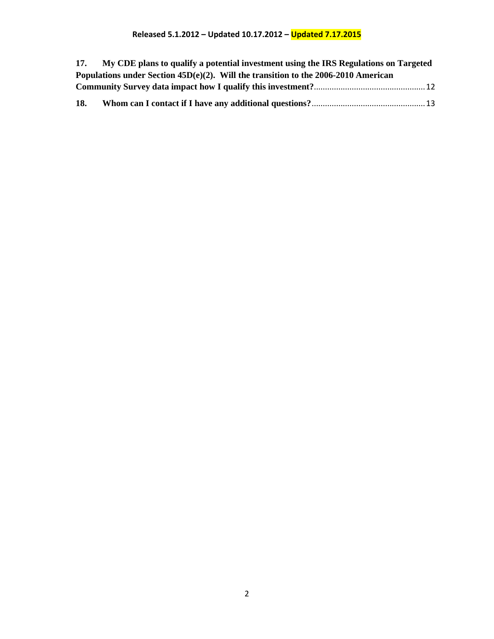## **Released 5.1.2012 – Updated 10.17.2012 – Updated 7.17.2015**

| <b>17.</b> | My CDE plans to qualify a potential investment using the IRS Regulations on Targeted  |  |
|------------|---------------------------------------------------------------------------------------|--|
|            | Populations under Section $45D(e)(2)$ . Will the transition to the 2006-2010 American |  |
|            |                                                                                       |  |
| 18.        |                                                                                       |  |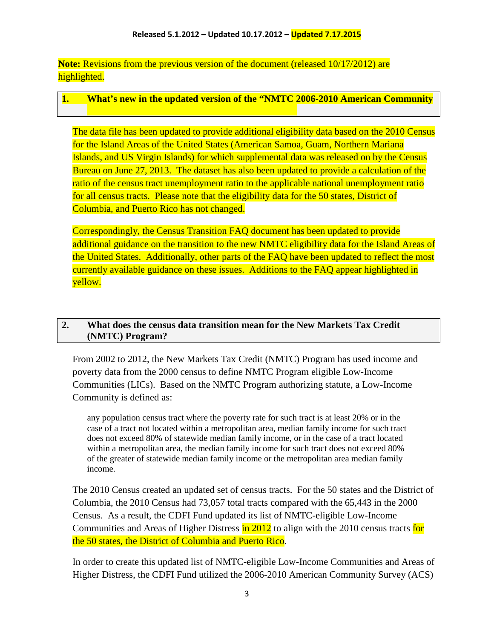**Note:** Revisions from the previous version of the document (released 10/17/2012) are highlighted.

## <span id="page-2-0"></span>**1. What's new in the updated version of the "NMTC 2006-2010 American Community**

The data file has been updated to provide additional eligibility data based on the 2010 Census for the Island Areas of the United States (American Samoa, Guam, Northern Mariana Islands, and US Virgin Islands) for which supplemental data was released on by the Census Bureau on June 27, 2013. The dataset has also been updated to provide a calculation of the ratio of the census tract unemployment ratio to the applicable national unemployment ratio for all census tracts. Please note that the eligibility data for the 50 states, District of Columbia, and Puerto Rico has not changed.

Correspondingly, the Census Transition FAQ document has been updated to provide additional guidance on the transition to the new NMTC eligibility data for the Island Areas of the United States. Additionally, other parts of the FAQ have been updated to reflect the most currently available guidance on these issues. Additions to the FAQ appear highlighted in yellow.

### <span id="page-2-1"></span>**2. What does the census data transition mean for the New Markets Tax Credit (NMTC) Program?**

From 2002 to 2012, the New Markets Tax Credit (NMTC) Program has used income and poverty data from the 2000 census to define NMTC Program eligible Low-Income Communities (LICs). Based on the NMTC Program authorizing statute, a Low-Income Community is defined as:

any population census tract where the poverty rate for such tract is at least 20% or in the case of a tract not located within a metropolitan area, median family income for such tract does not exceed 80% of statewide median family income, or in the case of a tract located within a metropolitan area, the median family income for such tract does not exceed 80% of the greater of statewide median family income or the metropolitan area median family income.

The 2010 Census created an updated set of census tracts. For the 50 states and the District of Columbia, the 2010 Census had 73,057 total tracts compared with the 65,443 in the 2000 Census. As a result, the CDFI Fund updated its list of NMTC-eligible Low-Income Communities and Areas of Higher Distress in 2012 to align with the 2010 census tracts for the 50 states, the District of Columbia and Puerto Rico.

In order to create this updated list of NMTC-eligible Low-Income Communities and Areas of Higher Distress, the CDFI Fund utilized the 2006-2010 American Community Survey (ACS)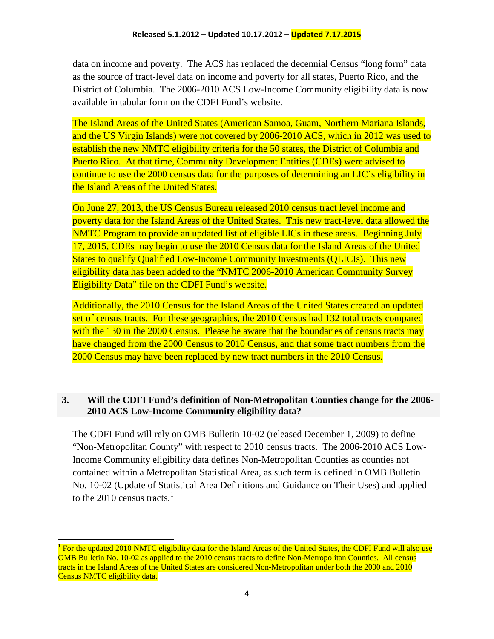data on income and poverty. The ACS has replaced the decennial Census "long form" data as the source of tract-level data on income and poverty for all states, Puerto Rico, and the District of Columbia. The 2006-2010 ACS Low-Income Community eligibility data is now available in tabular form on the CDFI Fund's website.

The Island Areas of the United States (American Samoa, Guam, Northern Mariana Islands, and the US Virgin Islands) were not covered by 2006-2010 ACS, which in 2012 was used to establish the new NMTC eligibility criteria for the 50 states, the District of Columbia and Puerto Rico. At that time, Community Development Entities (CDEs) were advised to continue to use the 2000 census data for the purposes of determining an LIC's eligibility in the Island Areas of the United States.

On June 27, 2013, the US Census Bureau released 2010 census tract level income and poverty data for the Island Areas of the United States. This new tract-level data allowed the NMTC Program to provide an updated list of eligible LICs in these areas. Beginning July 17, 2015, CDEs may begin to use the 2010 Census data for the Island Areas of the United States to qualify Qualified Low-Income Community Investments (QLICIs). This new eligibility data has been added to the "NMTC 2006-2010 American Community Survey Eligibility Data" file on the CDFI Fund's website.

Additionally, the 2010 Census for the Island Areas of the United States created an updated set of census tracts. For these geographies, the 2010 Census had 132 total tracts compared with the 130 in the 2000 Census. Please be aware that the boundaries of census tracts may have changed from the 2000 Census to 2010 Census, and that some tract numbers from the 2000 Census may have been replaced by new tract numbers in the 2010 Census.

## <span id="page-3-0"></span>**3. Will the CDFI Fund's definition of Non-Metropolitan Counties change for the 2006- 2010 ACS Low-Income Community eligibility data?**

The CDFI Fund will rely on OMB Bulletin 10-02 (released December 1, 2009) to define "Non-Metropolitan County" with respect to 2010 census tracts. The 2006-2010 ACS Low-Income Community eligibility data defines Non-Metropolitan Counties as counties not contained within a Metropolitan Statistical Area, as such term is defined in OMB Bulletin No. 10-02 (Update of Statistical Area Definitions and Guidance on Their Uses) and applied to the 20[1](#page-3-1)0 census tracts. $<sup>1</sup>$ </sup>

<span id="page-3-1"></span><sup>&</sup>lt;sup>1</sup> For the updated 2010 NMTC eligibility data for the Island Areas of the United States, the CDFI Fund will also use OMB Bulletin No. 10-02 as applied to the 2010 census tracts to define Non-Metropolitan Counties. All census tracts in the Island Areas of the United States are considered Non-Metropolitan under both the 2000 and 2010 Census NMTC eligibility data.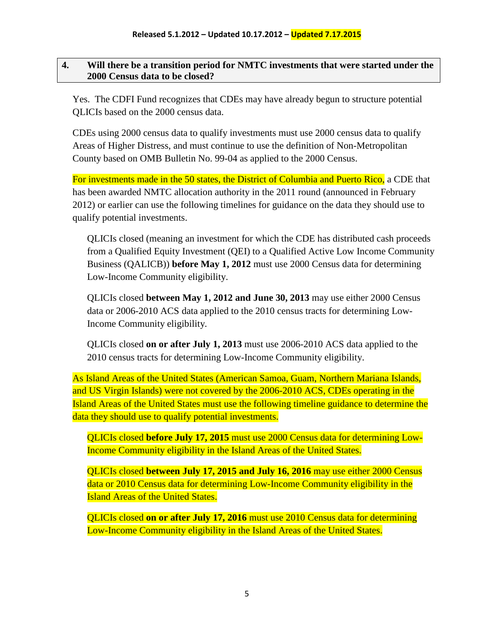#### <span id="page-4-0"></span>**4. Will there be a transition period for NMTC investments that were started under the 2000 Census data to be closed?**

Yes. The CDFI Fund recognizes that CDEs may have already begun to structure potential QLICIs based on the 2000 census data.

CDEs using 2000 census data to qualify investments must use 2000 census data to qualify Areas of Higher Distress, and must continue to use the definition of Non-Metropolitan County based on OMB Bulletin No. 99-04 as applied to the 2000 Census.

For investments made in the 50 states, the District of Columbia and Puerto Rico, a CDE that has been awarded NMTC allocation authority in the 2011 round (announced in February 2012) or earlier can use the following timelines for guidance on the data they should use to qualify potential investments.

QLICIs closed (meaning an investment for which the CDE has distributed cash proceeds from a Qualified Equity Investment (QEI) to a Qualified Active Low Income Community Business (QALICB)) **before May 1, 2012** must use 2000 Census data for determining Low-Income Community eligibility.

QLICIs closed **between May 1, 2012 and June 30, 2013** may use either 2000 Census data or 2006-2010 ACS data applied to the 2010 census tracts for determining Low-Income Community eligibility.

QLICIs closed **on or after July 1, 2013** must use 2006-2010 ACS data applied to the 2010 census tracts for determining Low-Income Community eligibility.

As Island Areas of the United States (American Samoa, Guam, Northern Mariana Islands, and US Virgin Islands) were not covered by the 2006-2010 ACS, CDEs operating in the Island Areas of the United States must use the following timeline guidance to determine the data they should use to qualify potential investments.

QLICIs closed **before July 17, 2015** must use 2000 Census data for determining Low-Income Community eligibility in the Island Areas of the United States.

QLICIs closed **between July 17, 2015 and July 16, 2016** may use either 2000 Census data or 2010 Census data for determining Low-Income Community eligibility in the Island Areas of the United States.

QLICIs closed **on or after July 17, 2016** must use 2010 Census data for determining Low-Income Community eligibility in the Island Areas of the United States.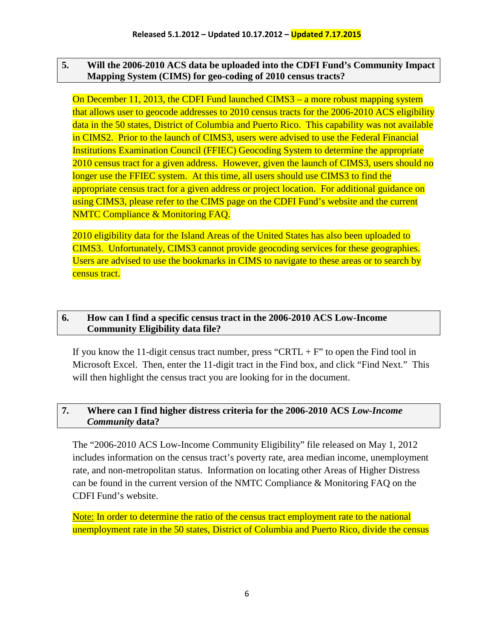#### <span id="page-5-0"></span>**5. Will the 2006-2010 ACS data be uploaded into the CDFI Fund's Community Impact Mapping System (CIMS) for geo-coding of 2010 census tracts?**

On December 11, 2013, the CDFI Fund launched CIMS3 – a more robust mapping system that allows user to geocode addresses to 2010 census tracts for the 2006-2010 ACS eligibility data in the 50 states, District of Columbia and Puerto Rico. This capability was not available in CIMS2. Prior to the launch of CIMS3, users were advised to use the Federal Financial Institutions Examination Council (FFIEC) Geocoding System to determine the appropriate 2010 census tract for a given address. However, given the launch of CIMS3, users should no longer use the FFIEC system. At this time, all users should use CIMS3 to find the appropriate census tract for a given address or project location. For additional guidance on using CIMS3, please refer to the CIMS page on the CDFI Fund's website and the current NMTC Compliance & Monitoring FAQ.

2010 eligibility data for the Island Areas of the United States has also been uploaded to CIMS3. Unfortunately, CIMS3 cannot provide geocoding services for these geographies. Users are advised to use the bookmarks in CIMS to navigate to these areas or to search by census tract.

#### <span id="page-5-1"></span>**6. How can I find a specific census tract in the 2006-2010 ACS Low-Income Community Eligibility data file?**

If you know the 11-digit census tract number, press "CRTL +  $F$ " to open the Find tool in Microsoft Excel. Then, enter the 11-digit tract in the Find box, and click "Find Next." This will then highlight the census tract you are looking for in the document.

#### <span id="page-5-2"></span>**7. Where can I find higher distress criteria for the 2006-2010 ACS** *Low-Income Community* **data?**

The "2006-2010 ACS Low-Income Community Eligibility" file released on May 1, 2012 includes information on the census tract's poverty rate, area median income, unemployment rate, and non-metropolitan status. Information on locating other Areas of Higher Distress can be found in the current version of the NMTC Compliance & Monitoring FAQ on the CDFI Fund's website.

Note: In order to determine the ratio of the census tract employment rate to the national unemployment rate in the 50 states, District of Columbia and Puerto Rico, divide the census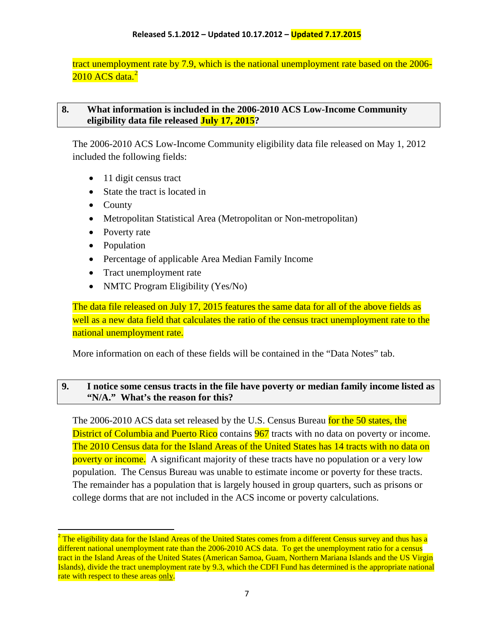tract unemployment rate by 7.9, which is the national unemployment rate based on the 2006-  $2010$  $2010$  ACS data. $^2$ 

#### <span id="page-6-0"></span>**8. What information is included in the 2006-2010 ACS Low-Income Community eligibility data file released July 17, 2015?**

The 2006-2010 ACS Low-Income Community eligibility data file released on May 1, 2012 included the following fields:

- 11 digit census tract
- State the tract is located in
- County
- Metropolitan Statistical Area (Metropolitan or Non-metropolitan)
- Poverty rate
- Population
- Percentage of applicable Area Median Family Income
- Tract unemployment rate
- NMTC Program Eligibility (Yes/No)

The data file released on July 17, 2015 features the same data for all of the above fields as well as a new data field that calculates the ratio of the census tract unemployment rate to the national unemployment rate.

More information on each of these fields will be contained in the "Data Notes" tab.

#### <span id="page-6-1"></span>**9. I notice some census tracts in the file have poverty or median family income listed as "N/A." What's the reason for this?**

The 2006-2010 ACS data set released by the U.S. Census Bureau for the 50 states, the District of Columbia and Puerto Rico contains 967 tracts with no data on poverty or income. The 2010 Census data for the Island Areas of the United States has 14 tracts with no data on poverty or income. A significant majority of these tracts have no population or a very low population. The Census Bureau was unable to estimate income or poverty for these tracts. The remainder has a population that is largely housed in group quarters, such as prisons or college dorms that are not included in the ACS income or poverty calculations.

<span id="page-6-2"></span> $2$  The eligibility data for the Island Areas of the United States comes from a different Census survey and thus has a different national unemployment rate than the 2006-2010 ACS data. To get the unemployment ratio for a census tract in the Island Areas of the United States (American Samoa, Guam, Northern Mariana Islands and the US Virgin Islands), divide the tract unemployment rate by 9.3, which the CDFI Fund has determined is the appropriate national rate with respect to these areas only.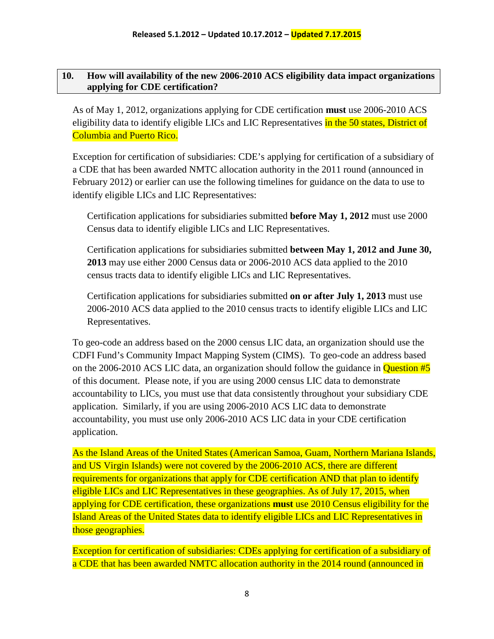#### <span id="page-7-0"></span>**10. How will availability of the new 2006-2010 ACS eligibility data impact organizations applying for CDE certification?**

As of May 1, 2012, organizations applying for CDE certification **must** use 2006-2010 ACS eligibility data to identify eligible LICs and LIC Representatives in the 50 states, District of Columbia and Puerto Rico.

Exception for certification of subsidiaries: CDE's applying for certification of a subsidiary of a CDE that has been awarded NMTC allocation authority in the 2011 round (announced in February 2012) or earlier can use the following timelines for guidance on the data to use to identify eligible LICs and LIC Representatives:

Certification applications for subsidiaries submitted **before May 1, 2012** must use 2000 Census data to identify eligible LICs and LIC Representatives.

Certification applications for subsidiaries submitted **between May 1, 2012 and June 30, 2013** may use either 2000 Census data or 2006-2010 ACS data applied to the 2010 census tracts data to identify eligible LICs and LIC Representatives.

Certification applications for subsidiaries submitted **on or after July 1, 2013** must use 2006-2010 ACS data applied to the 2010 census tracts to identify eligible LICs and LIC Representatives.

To geo-code an address based on the 2000 census LIC data, an organization should use the CDFI Fund's Community Impact Mapping System (CIMS). To geo-code an address based on the 2006-2010 ACS LIC data, an organization should follow the guidance in **Question**  $#5$ of this document. Please note, if you are using 2000 census LIC data to demonstrate accountability to LICs, you must use that data consistently throughout your subsidiary CDE application. Similarly, if you are using 2006-2010 ACS LIC data to demonstrate accountability, you must use only 2006-2010 ACS LIC data in your CDE certification application.

As the Island Areas of the United States (American Samoa, Guam, Northern Mariana Islands, and US Virgin Islands) were not covered by the 2006-2010 ACS, there are different requirements for organizations that apply for CDE certification AND that plan to identify eligible LICs and LIC Representatives in these geographies. As of July 17, 2015, when applying for CDE certification, these organizations **must** use 2010 Census eligibility for the Island Areas of the United States data to identify eligible LICs and LIC Representatives in those geographies.

Exception for certification of subsidiaries: CDEs applying for certification of a subsidiary of a CDE that has been awarded NMTC allocation authority in the 2014 round (announced in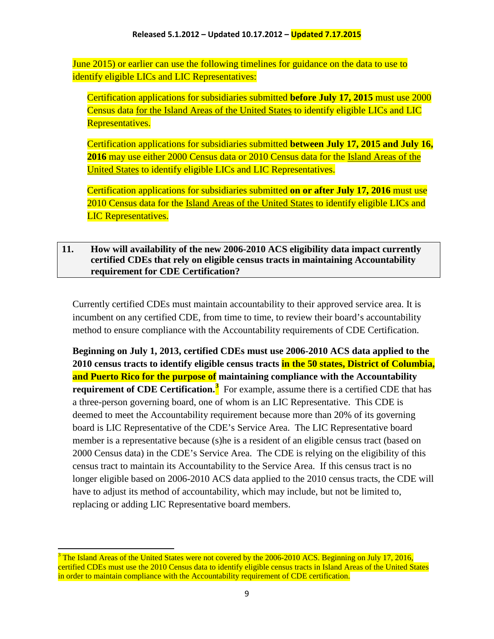June 2015) or earlier can use the following timelines for guidance on the data to use to identify eligible LICs and LIC Representatives:

Certification applications for subsidiaries submitted **before July 17, 2015** must use 2000 Census data for the Island Areas of the United States to identify eligible LICs and LIC Representatives.

Certification applications for subsidiaries submitted **between July 17, 2015 and July 16, 2016** may use either 2000 Census data or 2010 Census data for the Island Areas of the United States to identify eligible LICs and LIC Representatives.

Certification applications for subsidiaries submitted **on or after July 17, 2016** must use 2010 Census data for the Island Areas of the United States to identify eligible LICs and LIC Representatives.

#### <span id="page-8-0"></span>**11. How will availability of the new 2006-2010 ACS eligibility data impact currently certified CDEs that rely on eligible census tracts in maintaining Accountability requirement for CDE Certification?**

Currently certified CDEs must maintain accountability to their approved service area. It is incumbent on any certified CDE, from time to time, to review their board's accountability method to ensure compliance with the Accountability requirements of CDE Certification.

**Beginning on July 1, 2013, certified CDEs must use 2006-2010 ACS data applied to the 2010 census tracts to identify eligible census tracts in the 50 states, District of Columbia, and Puerto Rico for the purpose of maintaining compliance with the Accountability requirement of CDE Certification.[3](#page-8-1)** For example, assume there is a certified CDE that has a three-person governing board, one of whom is an LIC Representative. This CDE is deemed to meet the Accountability requirement because more than 20% of its governing board is LIC Representative of the CDE's Service Area. The LIC Representative board member is a representative because (s)he is a resident of an eligible census tract (based on 2000 Census data) in the CDE's Service Area. The CDE is relying on the eligibility of this census tract to maintain its Accountability to the Service Area. If this census tract is no longer eligible based on 2006-2010 ACS data applied to the 2010 census tracts, the CDE will have to adjust its method of accountability, which may include, but not be limited to, replacing or adding LIC Representative board members.

<span id="page-8-1"></span> $3$  The Island Areas of the United States were not covered by the 2006-2010 ACS. Beginning on July 17, 2016, certified CDEs must use the 2010 Census data to identify eligible census tracts in Island Areas of the United States in order to maintain compliance with the Accountability requirement of CDE certification.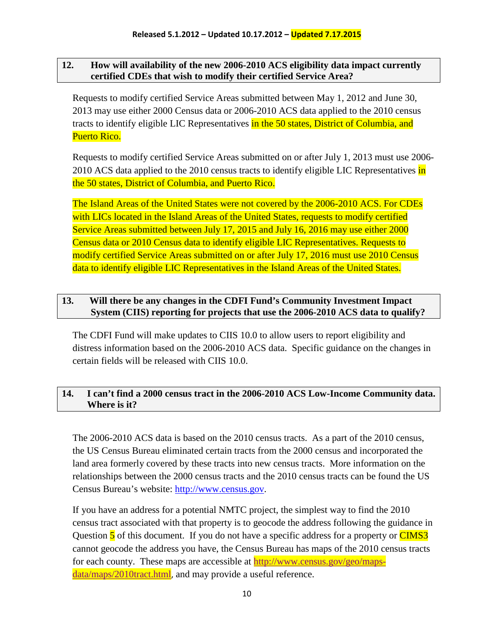#### <span id="page-9-0"></span>**12. How will availability of the new 2006-2010 ACS eligibility data impact currently certified CDEs that wish to modify their certified Service Area?**

Requests to modify certified Service Areas submitted between May 1, 2012 and June 30, 2013 may use either 2000 Census data or 2006-2010 ACS data applied to the 2010 census tracts to identify eligible LIC Representatives in the 50 states, District of Columbia, and Puerto Rico.

Requests to modify certified Service Areas submitted on or after July 1, 2013 must use 2006- 2010 ACS data applied to the 2010 census tracts to identify eligible LIC Representatives in the 50 states, District of Columbia, and Puerto Rico.

The Island Areas of the United States were not covered by the 2006-2010 ACS. For CDEs with LICs located in the Island Areas of the United States, requests to modify certified Service Areas submitted between July 17, 2015 and July 16, 2016 may use either 2000 Census data or 2010 Census data to identify eligible LIC Representatives. Requests to modify certified Service Areas submitted on or after July 17, 2016 must use 2010 Census data to identify eligible LIC Representatives in the Island Areas of the United States.

#### <span id="page-9-1"></span>**13. Will there be any changes in the CDFI Fund's Community Investment Impact System (CIIS) reporting for projects that use the 2006-2010 ACS data to qualify?**

The CDFI Fund will make updates to CIIS 10.0 to allow users to report eligibility and distress information based on the 2006-2010 ACS data. Specific guidance on the changes in certain fields will be released with CIIS 10.0.

## <span id="page-9-2"></span>**14. I can't find a 2000 census tract in the 2006-2010 ACS Low-Income Community data. Where is it?**

The 2006-2010 ACS data is based on the 2010 census tracts. As a part of the 2010 census, the US Census Bureau eliminated certain tracts from the 2000 census and incorporated the land area formerly covered by these tracts into new census tracts. More information on the relationships between the 2000 census tracts and the 2010 census tracts can be found the US Census Bureau's website: [http://www.census.gov.](http://www.census.gov/)

If you have an address for a potential NMTC project, the simplest way to find the 2010 census tract associated with that property is to geocode the address following the guidance in Question 5 of this document. If you do not have a specific address for a property or CIMS3 cannot geocode the address you have, the Census Bureau has maps of the 2010 census tracts for each county. These maps are accessible at [http://www.census.gov/geo/maps](http://www.census.gov/geo/maps-data/maps/2010tract.html)[data/maps/2010tract.html](http://www.census.gov/geo/maps-data/maps/2010tract.html), and may provide a useful reference.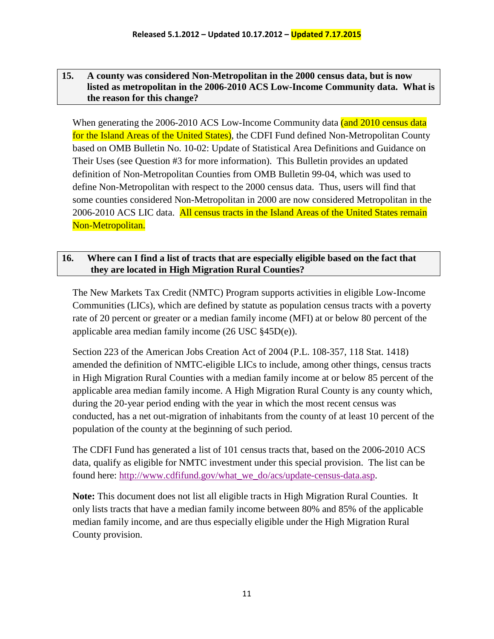#### <span id="page-10-0"></span>**15. A county was considered Non-Metropolitan in the 2000 census data, but is now listed as metropolitan in the 2006-2010 ACS Low-Income Community data. What is the reason for this change?**

When generating the 2006-2010 ACS Low-Income Community data (and 2010 census data for the Island Areas of the United States), the CDFI Fund defined Non-Metropolitan County based on OMB Bulletin No. 10-02: Update of Statistical Area Definitions and Guidance on Their Uses (see Question #3 for more information). This Bulletin provides an updated definition of Non-Metropolitan Counties from OMB Bulletin 99-04, which was used to define Non-Metropolitan with respect to the 2000 census data. Thus, users will find that some counties considered Non-Metropolitan in 2000 are now considered Metropolitan in the 2006-2010 ACS LIC data. All census tracts in the Island Areas of the United States remain Non-Metropolitan.

#### <span id="page-10-1"></span>**16. Where can I find a list of tracts that are especially eligible based on the fact that they are located in High Migration Rural Counties?**

The New Markets Tax Credit (NMTC) Program supports activities in eligible Low-Income Communities (LICs), which are defined by statute as population census tracts with a poverty rate of 20 percent or greater or a median family income (MFI) at or below 80 percent of the applicable area median family income (26 USC §45D(e)).

Section 223 of the American Jobs Creation Act of 2004 (P.L. 108-357, 118 Stat. 1418) amended the definition of NMTC-eligible LICs to include, among other things, census tracts in High Migration Rural Counties with a median family income at or below 85 percent of the applicable area median family income. A High Migration Rural County is any county which, during the 20-year period ending with the year in which the most recent census was conducted, has a net out-migration of inhabitants from the county of at least 10 percent of the population of the county at the beginning of such period.

The CDFI Fund has generated a list of 101 census tracts that, based on the 2006-2010 ACS data, qualify as eligible for NMTC investment under this special provision. The list can be found here: [http://www.cdfifund.gov/what\\_we\\_do/acs/update-census-data.asp.](http://www.cdfifund.gov/what_we_do/acs/update-census-data.asp)

**Note:** This document does not list all eligible tracts in High Migration Rural Counties. It only lists tracts that have a median family income between 80% and 85% of the applicable median family income, and are thus especially eligible under the High Migration Rural County provision.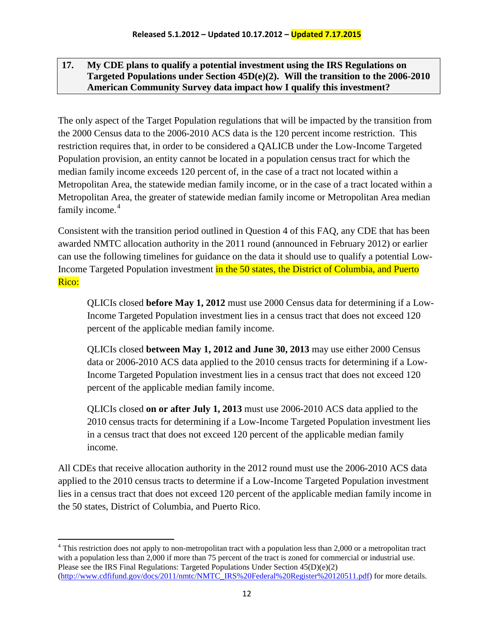#### <span id="page-11-0"></span>**17. My CDE plans to qualify a potential investment using the IRS Regulations on Targeted Populations under Section 45D(e)(2). Will the transition to the 2006-2010 American Community Survey data impact how I qualify this investment?**

The only aspect of the Target Population regulations that will be impacted by the transition from the 2000 Census data to the 2006-2010 ACS data is the 120 percent income restriction. This restriction requires that, in order to be considered a QALICB under the Low-Income Targeted Population provision, an entity cannot be located in a population census tract for which the median family income exceeds 120 percent of, in the case of a tract not located within a Metropolitan Area, the statewide median family income, or in the case of a tract located within a Metropolitan Area, the greater of statewide median family income or Metropolitan Area median family income.<sup>[4](#page-11-1)</sup>

Consistent with the transition period outlined in Question 4 of this FAQ, any CDE that has been awarded NMTC allocation authority in the 2011 round (announced in February 2012) or earlier can use the following timelines for guidance on the data it should use to qualify a potential Low-Income Targeted Population investment in the 50 states, the District of Columbia, and Puerto Rico:

QLICIs closed **before May 1, 2012** must use 2000 Census data for determining if a Low-Income Targeted Population investment lies in a census tract that does not exceed 120 percent of the applicable median family income.

QLICIs closed **between May 1, 2012 and June 30, 2013** may use either 2000 Census data or 2006-2010 ACS data applied to the 2010 census tracts for determining if a Low-Income Targeted Population investment lies in a census tract that does not exceed 120 percent of the applicable median family income.

QLICIs closed **on or after July 1, 2013** must use 2006-2010 ACS data applied to the 2010 census tracts for determining if a Low-Income Targeted Population investment lies in a census tract that does not exceed 120 percent of the applicable median family income.

All CDEs that receive allocation authority in the 2012 round must use the 2006-2010 ACS data applied to the 2010 census tracts to determine if a Low-Income Targeted Population investment lies in a census tract that does not exceed 120 percent of the applicable median family income in the 50 states, District of Columbia, and Puerto Rico.

<span id="page-11-1"></span><sup>&</sup>lt;sup>4</sup> This restriction does not apply to non-metropolitan tract with a population less than 2,000 or a metropolitan tract with a population less than 2,000 if more than 75 percent of the tract is zoned for commercial or industrial use. Please see the IRS Final Regulations: Targeted Populations Under Section  $45(D)(e)(2)$ [\(http://www.cdfifund.gov/docs/2011/nmtc/NMTC\\_IRS%20Federal%20Register%20120511.pdf\)](http://www.cdfifund.gov/docs/2011/nmtc/NMTC_IRS%20Federal%20Register%20120511.pdf) for more details.